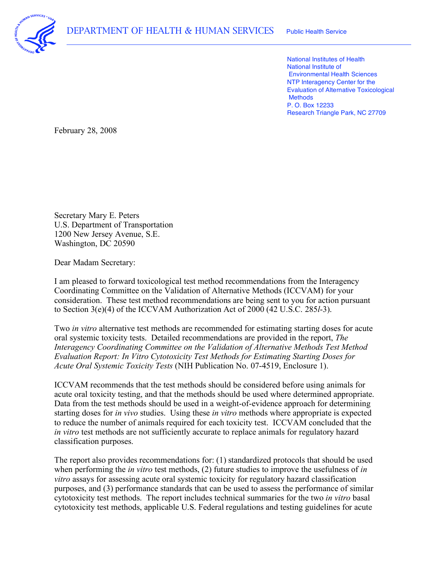

 National Institutes of Health National Institute of Environmental Health Sciences NTP Interagency Center for the Evaluation of Alternative Toxicological P. O. Box 12233 Research Triangle Park, NC 27709 **Methods** 

February 28, 2008

 U.S. Department of Transportation Washington, DC 20590 Secretary Mary E. Peters 1200 New Jersey Avenue, S.E.

Dear Madam Secretary:

 I am pleased to forward toxicological test method recommendations from the Interagency Coordinating Committee on the Validation of Alternative Methods (ICCVAM) for your consideration. These test method recommendations are being sent to you for action pursuant to Section 3(e)(4) of the ICCVAM Authorization Act of 2000 (42 U.S.C. 285*l*-3).

 Two *in vitro* alternative test methods are recommended for estimating starting doses for acute oral systemic toxicity tests. Detailed recommendations are provided in the report, *The Interagency Coordinating Committee on the Validation of Alternative Methods Test Method Evaluation Report: In Vitro Cytotoxicity Test Methods for Estimating Starting Doses for Acute Oral Systemic Toxicity Tests* (NIH Publication No. 07-4519, Enclosure 1).

 ICCVAM recommends that the test methods should be considered before using animals for acute oral toxicity testing, and that the methods should be used where determined appropriate. Data from the test methods should be used in a weight-of-evidence approach for determining starting doses for *in vivo* studies. Using these *in vitro* methods where appropriate is expected to reduce the number of animals required for each toxicity test. ICCVAM concluded that the *in vitro* test methods are not sufficiently accurate to replace animals for regulatory hazard classification purposes.

 The report also provides recommendations for: (1) standardized protocols that should be used when performing the *in vitro* test methods, (2) future studies to improve the usefulness of *in vitro* assays for assessing acute oral systemic toxicity for regulatory hazard classification purposes, and (3) performance standards that can be used to assess the performance of similar cytotoxicity test methods. The report includes technical summaries for the two *in vitro* basal cytotoxicity test methods, applicable U.S. Federal regulations and testing guidelines for acute